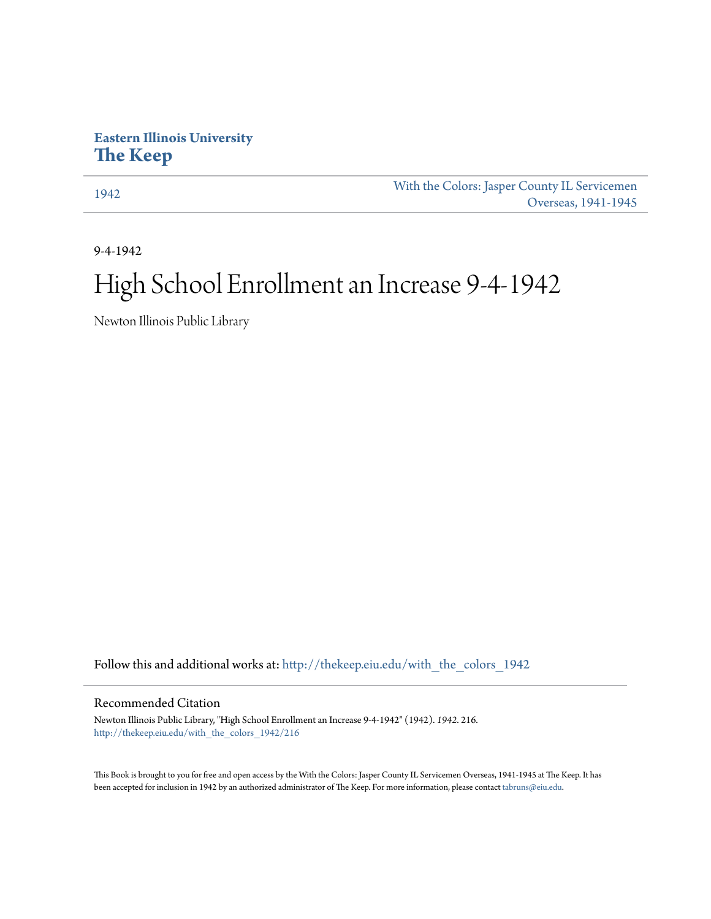## **Eastern Illinois University [The Keep](http://thekeep.eiu.edu?utm_source=thekeep.eiu.edu%2Fwith_the_colors_1942%2F216&utm_medium=PDF&utm_campaign=PDFCoverPages)**

[1942](http://thekeep.eiu.edu/with_the_colors_1942?utm_source=thekeep.eiu.edu%2Fwith_the_colors_1942%2F216&utm_medium=PDF&utm_campaign=PDFCoverPages) [With the Colors: Jasper County IL Servicemen](http://thekeep.eiu.edu/with_the_colors?utm_source=thekeep.eiu.edu%2Fwith_the_colors_1942%2F216&utm_medium=PDF&utm_campaign=PDFCoverPages) [Overseas, 1941-1945](http://thekeep.eiu.edu/with_the_colors?utm_source=thekeep.eiu.edu%2Fwith_the_colors_1942%2F216&utm_medium=PDF&utm_campaign=PDFCoverPages)

9-4-1942

## High School Enrollment an Increase 9-4-1942

Newton Illinois Public Library

Follow this and additional works at: [http://thekeep.eiu.edu/with\\_the\\_colors\\_1942](http://thekeep.eiu.edu/with_the_colors_1942?utm_source=thekeep.eiu.edu%2Fwith_the_colors_1942%2F216&utm_medium=PDF&utm_campaign=PDFCoverPages)

## Recommended Citation

Newton Illinois Public Library, "High School Enrollment an Increase 9-4-1942" (1942). *1942*. 216. [http://thekeep.eiu.edu/with\\_the\\_colors\\_1942/216](http://thekeep.eiu.edu/with_the_colors_1942/216?utm_source=thekeep.eiu.edu%2Fwith_the_colors_1942%2F216&utm_medium=PDF&utm_campaign=PDFCoverPages)

This Book is brought to you for free and open access by the With the Colors: Jasper County IL Servicemen Overseas, 1941-1945 at The Keep. It has been accepted for inclusion in 1942 by an authorized administrator of The Keep. For more information, please contact [tabruns@eiu.edu](mailto:tabruns@eiu.edu).